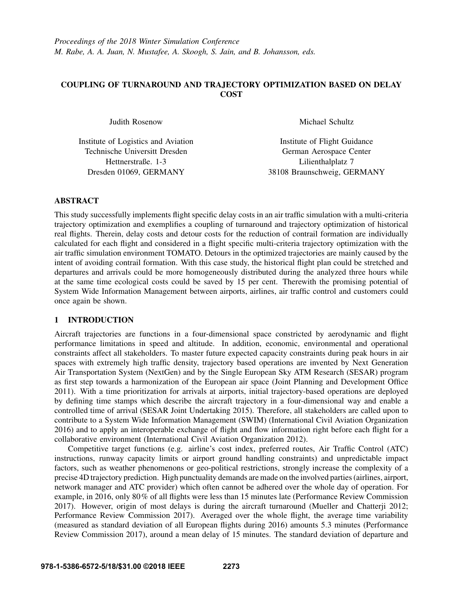# COUPLING OF TURNAROUND AND TRAJECTORY OPTIMIZATION BASED ON DELAY **COST**

Judith Rosenow

Institute of Logistics and Aviation Technische Universitt Dresden Hettnerstraße. 1-3 Dresden 01069, GERMANY

Michael Schultz

Institute of Flight Guidance German Aerospace Center Lilienthalplatz 7 38108 Braunschweig, GERMANY

## ABSTRACT

This study successfully implements flight specific delay costs in an air traffic simulation with a multi-criteria trajectory optimization and exemplifies a coupling of turnaround and trajectory optimization of historical real flights. Therein, delay costs and detour costs for the reduction of contrail formation are individually calculated for each flight and considered in a flight specific multi-criteria trajectory optimization with the air traffic simulation environment TOMATO. Detours in the optimized trajectories are mainly caused by the intent of avoiding contrail formation. With this case study, the historical flight plan could be stretched and departures and arrivals could be more homogeneously distributed during the analyzed three hours while at the same time ecological costs could be saved by 15 per cent. Therewith the promising potential of System Wide Information Management between airports, airlines, air traffic control and customers could once again be shown.

# 1 INTRODUCTION

Aircraft trajectories are functions in a four-dimensional space constricted by aerodynamic and flight performance limitations in speed and altitude. In addition, economic, environmental and operational constraints affect all stakeholders. To master future expected capacity constraints during peak hours in air spaces with extremely high traffic density, trajectory based operations are invented by Next Generation Air Transportation System (NextGen) and by the Single European Sky ATM Research (SESAR) program as first step towards a harmonization of the European air space (Joint Planning and Development Office 2011). With a time prioritization for arrivals at airports, initial trajectory-based operations are deployed by defining time stamps which describe the aircraft trajectory in a four-dimensional way and enable a controlled time of arrival (SESAR Joint Undertaking 2015). Therefore, all stakeholders are called upon to contribute to a System Wide Information Management (SWIM) (International Civil Aviation Organization 2016) and to apply an interoperable exchange of flight and flow information right before each flight for a collaborative environment (International Civil Aviation Organization 2012).

Competitive target functions (e.g. airline's cost index, preferred routes, Air Traffic Control (ATC) instructions, runway capacity limits or airport ground handling constraints) and unpredictable impact factors, such as weather phenomenons or geo-political restrictions, strongly increase the complexity of a precise 4D trajectory prediction. High punctuality demands are made on the involved parties (airlines, airport, network manager and ATC provider) which often cannot be adhered over the whole day of operation. For example, in 2016, only 80% of all flights were less than 15 minutes late (Performance Review Commission 2017). However, origin of most delays is during the aircraft turnaround (Mueller and Chatterji 2012; Performance Review Commission 2017). Averaged over the whole flight, the average time variability (measured as standard deviation of all European flights during 2016) amounts 5.3 minutes (Performance Review Commission 2017), around a mean delay of 15 minutes. The standard deviation of departure and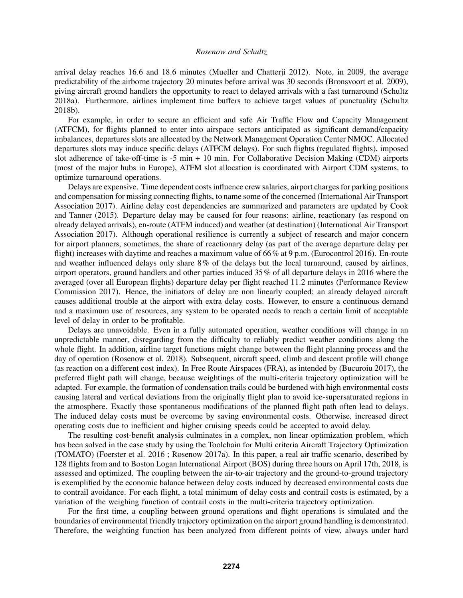arrival delay reaches 16.6 and 18.6 minutes (Mueller and Chatterji 2012). Note, in 2009, the average predictability of the airborne trajectory 20 minutes before arrival was 30 seconds (Bronsvoort et al. 2009), giving aircraft ground handlers the opportunity to react to delayed arrivals with a fast turnaround (Schultz 2018a). Furthermore, airlines implement time buffers to achieve target values of punctuality (Schultz 2018b).

For example, in order to secure an efficient and safe Air Traffic Flow and Capacity Management (ATFCM), for flights planned to enter into airspace sectors anticipated as significant demand/capacity imbalances, departures slots are allocated by the Network Management Operation Center NMOC. Allocated departures slots may induce specific delays (ATFCM delays). For such flights (regulated flights), imposed slot adherence of take-off-time is -5 min + 10 min. For Collaborative Decision Making (CDM) airports (most of the major hubs in Europe), ATFM slot allocation is coordinated with Airport CDM systems, to optimize turnaround operations.

Delays are expensive. Time dependent costs influence crew salaries, airport charges for parking positions and compensation for missing connecting flights, to name some of the concerned (International Air Transport Association 2017). Airline delay cost dependencies are summarized and parameters are updated by Cook and Tanner (2015). Departure delay may be caused for four reasons: airline, reactionary (as respond on already delayed arrivals), en-route (ATFM induced) and weather (at destination) (International Air Transport Association 2017). Although operational resilience is currently a subject of research and major concern for airport planners, sometimes, the share of reactionary delay (as part of the average departure delay per flight) increases with daytime and reaches a maximum value of 66% at 9 p.m. (Eurocontrol 2016). En-route and weather influenced delays only share 8% of the delays but the local turnaround, caused by airlines, airport operators, ground handlers and other parties induced 35% of all departure delays in 2016 where the averaged (over all European flights) departure delay per flight reached 11.2 minutes (Performance Review Commission 2017). Hence, the initiators of delay are non linearly coupled; an already delayed aircraft causes additional trouble at the airport with extra delay costs. However, to ensure a continuous demand and a maximum use of resources, any system to be operated needs to reach a certain limit of acceptable level of delay in order to be profitable.

Delays are unavoidable. Even in a fully automated operation, weather conditions will change in an unpredictable manner, disregarding from the difficulty to reliably predict weather conditions along the whole flight. In addition, airline target functions might change between the flight planning process and the day of operation (Rosenow et al. 2018). Subsequent, aircraft speed, climb and descent profile will change (as reaction on a different cost index). In Free Route Airspaces (FRA), as intended by (Bucuroiu 2017), the preferred flight path will change, because weightings of the multi-criteria trajectory optimization will be adapted. For example, the formation of condensation trails could be burdened with high environmental costs causing lateral and vertical deviations from the originally flight plan to avoid ice-supersaturated regions in the atmosphere. Exactly those spontaneous modifications of the planned flight path often lead to delays. The induced delay costs must be overcome by saving environmental costs. Otherwise, increased direct operating costs due to inefficient and higher cruising speeds could be accepted to avoid delay.

The resulting cost-benefit analysis culminates in a complex, non linear optimization problem, which has been solved in the case study by using the Toolchain for Multi criteria Aircraft Trajectory Optimization (TOMATO) (Foerster et al. 2016 ; Rosenow 2017a). In this paper, a real air traffic scenario, described by 128 flights from and to Boston Logan International Airport (BOS) during three hours on April 17th, 2018, is assessed and optimized. The coupling between the air-to-air trajectory and the ground-to-ground trajectory is exemplified by the economic balance between delay costs induced by decreased environmental costs due to contrail avoidance. For each flight, a total minimum of delay costs and contrail costs is estimated, by a variation of the weighing function of contrail costs in the multi-criteria trajectory optimization.

For the first time, a coupling between ground operations and flight operations is simulated and the boundaries of environmental friendly trajectory optimization on the airport ground handling is demonstrated. Therefore, the weighting function has been analyzed from different points of view, always under hard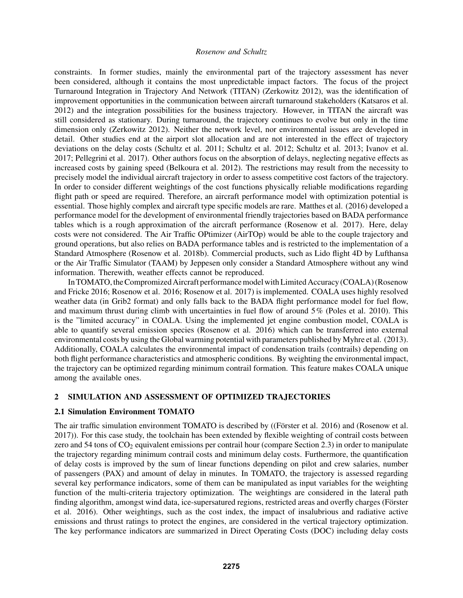constraints. In former studies, mainly the environmental part of the trajectory assessment has never been considered, although it contains the most unpredictable impact factors. The focus of the project Turnaround Integration in Trajectory And Network (TITAN) (Zerkowitz 2012), was the identification of improvement opportunities in the communication between aircraft turnaround stakeholders (Katsaros et al. 2012) and the integration possibilities for the business trajectory. However, in TITAN the aircraft was still considered as stationary. During turnaround, the trajectory continues to evolve but only in the time dimension only (Zerkowitz 2012). Neither the network level, nor environmental issues are developed in detail. Other studies end at the airport slot allocation and are not interested in the effect of trajectory deviations on the delay costs (Schultz et al. 2011; Schultz et al. 2012; Schultz et al. 2013; Ivanov et al. 2017; Pellegrini et al. 2017). Other authors focus on the absorption of delays, neglecting negative effects as increased costs by gaining speed (Belkoura et al. 2012). The restrictions may result from the necessity to precisely model the individual aircraft trajectory in order to assess competitive cost factors of the trajectory. In order to consider different weightings of the cost functions physically reliable modifications regarding flight path or speed are required. Therefore, an aircraft performance model with optimization potential is essential. Those highly complex and aircraft type specific models are rare. Matthes et al. (2016) developed a performance model for the development of environmental friendly trajectories based on BADA performance tables which is a rough approximation of the aircraft performance (Rosenow et al. 2017). Here, delay costs were not considered. The Air Traffic OPtimizer (AirTOp) would be able to the couple trajectory and ground operations, but also relies on BADA performance tables and is restricted to the implementation of a Standard Atmosphere (Rosenow et al. 2018b). Commercial products, such as Lido flight 4D by Lufthansa or the Air Traffic Simulator (TAAM) by Jeppesen only consider a Standard Atmosphere without any wind information. Therewith, weather effects cannot be reproduced.

In TOMATO, the Compromized Aircraft performance model with Limited Accuracy (COALA) (Rosenow and Fricke 2016; Rosenow et al. 2016; Rosenow et al. 2017) is implemented. COALA uses highly resolved weather data (in Grib2 format) and only falls back to the BADA flight performance model for fuel flow, and maximum thrust during climb with uncertainties in fuel flow of around 5% (Poles et al. 2010). This is the "limited accuracy" in COALA. Using the implemented jet engine combustion model, COALA is able to quantify several emission species (Rosenow et al. 2016) which can be transferred into external environmental costs by using the Global warming potential with parameters published by Myhre et al. (2013). Additionally, COALA calculates the environmental impact of condensation trails (contrails) depending on both flight performance characteristics and atmospheric conditions. By weighting the environmental impact, the trajectory can be optimized regarding minimum contrail formation. This feature makes COALA unique among the available ones.

### 2 SIMULATION AND ASSESSMENT OF OPTIMIZED TRAJECTORIES

### 2.1 Simulation Environment TOMATO

The air traffic simulation environment TOMATO is described by ((Förster et al. 2016) and (Rosenow et al. 2017)). For this case study, the toolchain has been extended by flexible weighting of contrail costs between zero and 54 tons of  $CO<sub>2</sub>$  equivalent emissions per contrail hour (compare Section 2.3) in order to manipulate the trajectory regarding minimum contrail costs and minimum delay costs. Furthermore, the quantification of delay costs is improved by the sum of linear functions depending on pilot and crew salaries, number of passengers (PAX) and amount of delay in minutes. In TOMATO, the trajectory is assessed regarding several key performance indicators, some of them can be manipulated as input variables for the weighting function of the multi-criteria trajectory optimization. The weightings are considered in the lateral path finding algorithm, amongst wind data, ice-supersatured regions, restricted areas and overfly charges (Förster et al. 2016). Other weightings, such as the cost index, the impact of insalubrious and radiative active emissions and thrust ratings to protect the engines, are considered in the vertical trajectory optimization. The key performance indicators are summarized in Direct Operating Costs (DOC) including delay costs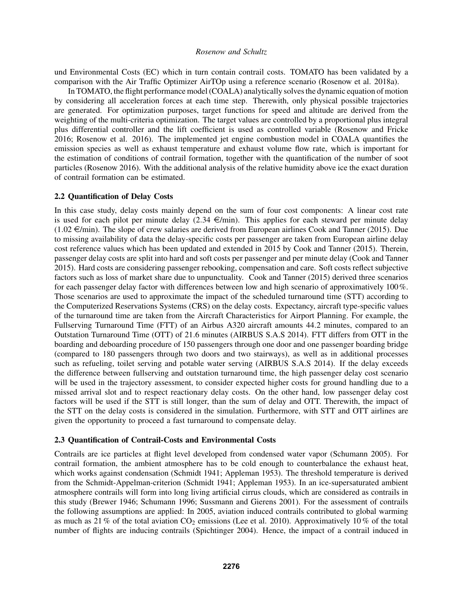und Environmental Costs (EC) which in turn contain contrail costs. TOMATO has been validated by a comparison with the Air Traffic Optimizer AirTOp using a reference scenario (Rosenow et al. 2018a).

In TOMATO, the flight performance model (COALA) analytically solves the dynamic equation of motion by considering all acceleration forces at each time step. Therewith, only physical possible trajectories are generated. For optimization purposes, target functions for speed and altitude are derived from the weighting of the multi-criteria optimization. The target values are controlled by a proportional plus integral plus differential controller and the lift coefficient is used as controlled variable (Rosenow and Fricke 2016; Rosenow et al. 2016). The implemented jet engine combustion model in COALA quantifies the emission species as well as exhaust temperature and exhaust volume flow rate, which is important for the estimation of conditions of contrail formation, together with the quantification of the number of soot particles (Rosenow 2016). With the additional analysis of the relative humidity above ice the exact duration of contrail formation can be estimated.

### 2.2 Quantification of Delay Costs

In this case study, delay costs mainly depend on the sum of four cost components: A linear cost rate is used for each pilot per minute delay  $(2.34 \in \text{/min})$ . This applies for each steward per minute delay  $(1.02 \in \text{/min})$ . The slope of crew salaries are derived from European airlines Cook and Tanner (2015). Due to missing availability of data the delay-specific costs per passenger are taken from European airline delay cost reference values which has been updated and extended in 2015 by Cook and Tanner (2015). Therein, passenger delay costs are split into hard and soft costs per passenger and per minute delay (Cook and Tanner 2015). Hard costs are considering passenger rebooking, compensation and care. Soft costs reflect subjective factors such as loss of market share due to unpunctuality. Cook and Tanner (2015) derived three scenarios for each passenger delay factor with differences between low and high scenario of approximatively 100%. Those scenarios are used to approximate the impact of the scheduled turnaround time (STT) according to the Computerized Reservations Systems (CRS) on the delay costs. Expectancy, aircraft type-specific values of the turnaround time are taken from the Aircraft Characteristics for Airport Planning. For example, the Fullserving Turnaround Time (FTT) of an Airbus A320 aircraft amounts 44.2 minutes, compared to an Outstation Turnaround Time (OTT) of 21.6 minutes (AIRBUS S.A.S 2014). FTT differs from OTT in the boarding and deboarding procedure of 150 passengers through one door and one passenger boarding bridge (compared to 180 passengers through two doors and two stairways), as well as in additional processes such as refueling, toilet serving and potable water serving (AIRBUS S.A.S 2014). If the delay exceeds the difference between fullserving and outstation turnaround time, the high passenger delay cost scenario will be used in the trajectory assessment, to consider expected higher costs for ground handling due to a missed arrival slot and to respect reactionary delay costs. On the other hand, low passenger delay cost factors will be used if the STT is still longer, than the sum of delay and OTT. Therewith, the impact of the STT on the delay costs is considered in the simulation. Furthermore, with STT and OTT airlines are given the opportunity to proceed a fast turnaround to compensate delay.

## 2.3 Quantification of Contrail-Costs and Environmental Costs

Contrails are ice particles at flight level developed from condensed water vapor (Schumann 2005). For contrail formation, the ambient atmosphere has to be cold enough to counterbalance the exhaust heat, which works against condensation (Schmidt 1941; Appleman 1953). The threshold temperature is derived from the Schmidt-Appelman-criterion (Schmidt 1941; Appleman 1953). In an ice-supersaturated ambient atmosphere contrails will form into long living artificial cirrus clouds, which are considered as contrails in this study (Brewer 1946; Schumann 1996; Sussmann and Gierens 2001). For the assessment of contrails the following assumptions are applied: In 2005, aviation induced contrails contributed to global warming as much as 21 % of the total aviation  $CO<sub>2</sub>$  emissions (Lee et al. 2010). Approximatively 10 % of the total number of flights are inducing contrails (Spichtinger 2004). Hence, the impact of a contrail induced in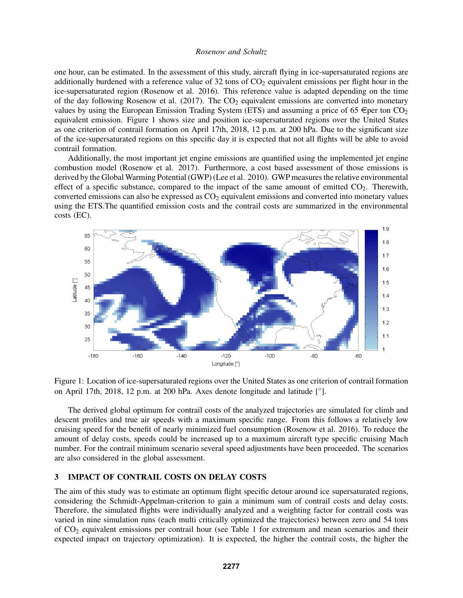one hour, can be estimated. In the assessment of this study, aircraft flying in ice-supersaturated regions are additionally burdened with a reference value of  $32$  tons of  $CO<sub>2</sub>$  equivalent emissions per flight hour in the ice-supersaturated region (Rosenow et al. 2016). This reference value is adapted depending on the time of the day following Rosenow et al. (2017). The  $CO<sub>2</sub>$  equivalent emissions are converted into monetary values by using the European Emission Trading System (ETS) and assuming a price of 65  $\epsilon$  per ton CO<sub>2</sub> equivalent emission. Figure 1 shows size and position ice-supersaturated regions over the United States as one criterion of contrail formation on April 17th, 2018, 12 p.m. at 200 hPa. Due to the significant size of the ice-supersaturated regions on this specific day it is expected that not all flights will be able to avoid contrail formation.

Additionally, the most important jet engine emissions are quantified using the implemented jet engine combustion model (Rosenow et al. 2017). Furthermore, a cost based assessment of those emissions is derived by the Global Warming Potential (GWP) (Lee et al. 2010). GWP measures the relative environmental effect of a specific substance, compared to the impact of the same amount of emitted  $CO<sub>2</sub>$ . Therewith, converted emissions can also be expressed as  $CO<sub>2</sub>$  equivalent emissions and converted into monetary values using the ETS.The quantified emission costs and the contrail costs are summarized in the environmental costs (EC).



Figure 1: Location of ice-supersaturated regions over the United States as one criterion of contrail formation on April 17th, 2018, 12 p.m. at 200 hPa. Axes denote longitude and latitude [°].

The derived global optimum for contrail costs of the analyzed trajectories are simulated for climb and descent profiles and true air speeds with a maximum specific range. From this follows a relatively low cruising speed for the benefit of nearly minimized fuel consumption (Rosenow et al. 2016). To reduce the amount of delay costs, speeds could be increased up to a maximum aircraft type specific cruising Mach number. For the contrail minimum scenario several speed adjustments have been proceeded. The scenarios are also considered in the global assessment.

### 3 IMPACT OF CONTRAIL COSTS ON DELAY COSTS

The aim of this study was to estimate an optimum flight specific detour around ice supersaturated regions, considering the Schmidt-Appelman-criterion to gain a minimum sum of contrail costs and delay costs. Therefore, the simulated flights were individually analyzed and a weighting factor for contrail costs was varied in nine simulation runs (each multi critically optimized the trajectories) between zero and 54 tons of  $CO<sub>2</sub>$  equivalent emissions per contrail hour (see Table 1 for extremum and mean scenarios and their expected impact on trajectory optimization). It is expected, the higher the contrail costs, the higher the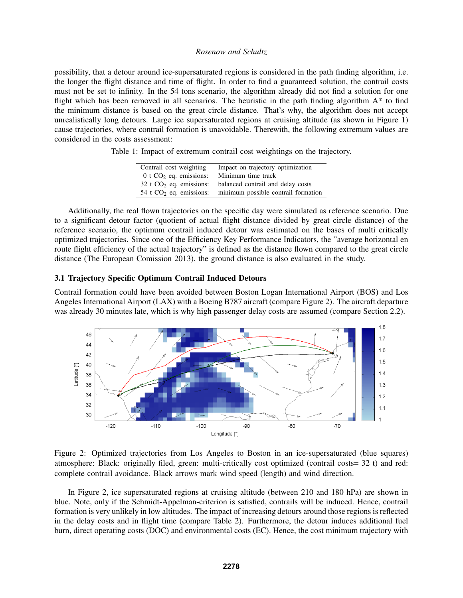possibility, that a detour around ice-supersaturated regions is considered in the path finding algorithm, i.e. the longer the flight distance and time of flight. In order to find a guaranteed solution, the contrail costs must not be set to infinity. In the 54 tons scenario, the algorithm already did not find a solution for one flight which has been removed in all scenarios. The heuristic in the path finding algorithm A\* to find the minimum distance is based on the great circle distance. That's why, the algorithm does not accept unrealistically long detours. Large ice supersaturated regions at cruising altitude (as shown in Figure 1) cause trajectories, where contrail formation is unavoidable. Therewith, the following extremum values are considered in the costs assessment:

Table 1: Impact of extremum contrail cost weightings on the trajectory.

| Contrail cost weighting              | Impact on trajectory optimization   |
|--------------------------------------|-------------------------------------|
| $0$ t CO <sub>2</sub> eq. emissions: | Minimum time track                  |
| 32 t $CO2$ eq. emissions:            | balanced contrail and delay costs   |
| 54 t $CO2$ eq. emissions:            | minimum possible contrail formation |

Additionally, the real flown trajectories on the specific day were simulated as reference scenario. Due to a significant detour factor (quotient of actual flight distance divided by great circle distance) of the reference scenario, the optimum contrail induced detour was estimated on the bases of multi critically optimized trajectories. Since one of the Efficiency Key Performance Indicators, the "average horizontal en route flight efficiency of the actual trajectory" is defined as the distance flown compared to the great circle distance (The European Comission 2013), the ground distance is also evaluated in the study.

## 3.1 Trajectory Specific Optimum Contrail Induced Detours

Contrail formation could have been avoided between Boston Logan International Airport (BOS) and Los Angeles International Airport (LAX) with a Boeing B787 aircraft (compare Figure 2). The aircraft departure was already 30 minutes late, which is why high passenger delay costs are assumed (compare Section 2.2).



Figure 2: Optimized trajectories from Los Angeles to Boston in an ice-supersaturated (blue squares) atmosphere: Black: originally filed, green: multi-critically cost optimized (contrail costs= 32 t) and red: complete contrail avoidance. Black arrows mark wind speed (length) and wind direction.

In Figure 2, ice supersaturated regions at cruising altitude (between 210 and 180 hPa) are shown in blue. Note, only if the Schmidt-Appelman-criterion is satisfied, contrails will be induced. Hence, contrail formation is very unlikely in low altitudes. The impact of increasing detours around those regions is reflected in the delay costs and in flight time (compare Table 2). Furthermore, the detour induces additional fuel burn, direct operating costs (DOC) and environmental costs (EC). Hence, the cost minimum trajectory with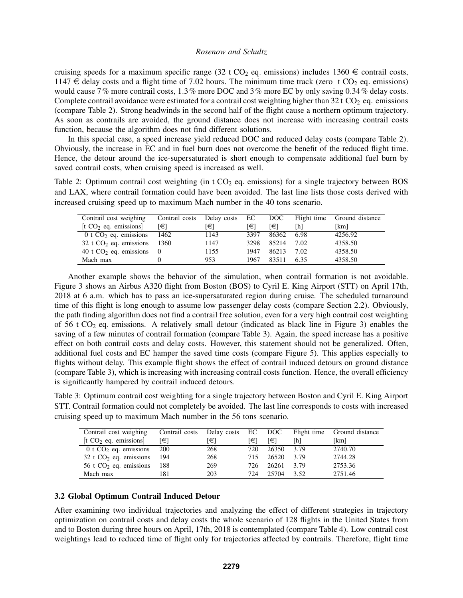cruising speeds for a maximum specific range (32 t CO<sub>2</sub> eq. emissions) includes 1360  $\in$  contrail costs,  $1147 \in$  delay costs and a flight time of 7.02 hours. The minimum time track (zero t CO<sub>2</sub> eq. emissions) would cause 7% more contrail costs, 1.3% more DOC and 3% more EC by only saving 0.34% delay costs. Complete contrail avoidance were estimated for a contrail cost weighting higher than  $32 \text{ t } CO_2$  eq. emissions (compare Table 2). Strong headwinds in the second half of the flight cause a northern optimum trajectory. As soon as contrails are avoided, the ground distance does not increase with increasing contrail costs function, because the algorithm does not find different solutions.

In this special case, a speed increase yield reduced DOC and reduced delay costs (compare Table 2). Obviously, the increase in EC and in fuel burn does not overcome the benefit of the reduced flight time. Hence, the detour around the ice-supersaturated is short enough to compensate additional fuel burn by saved contrail costs, when cruising speed is increased as well.

Table 2: Optimum contrail cost weighting (in t  $CO<sub>2</sub>$  eq. emissions) for a single trajectory between BOS and LAX, where contrail formation could have been avoided. The last line lists those costs derived with increased cruising speed up to maximum Mach number in the 40 tons scenario.

| Contrail cost weighing               | Contrail costs | Delay costs EC |      | DOC.  |      | Flight time Ground distance |
|--------------------------------------|----------------|----------------|------|-------|------|-----------------------------|
| [t $CO2$ eq. emissions]              | [€]            | l€l            | [€]  | [€]   | [h]  | [km]                        |
| 0 t $CO2$ eq. emissions              | 1462           | 1143           | 3397 | 86362 | 6.98 | 4256.92                     |
| $32$ t CO <sub>2</sub> eq. emissions | 1360           | 1147           | 3298 | 85214 | 7.02 | 4358.50                     |
| 40 t $CO2$ eq. emissions             | $\overline{0}$ | 1155           | 1947 | 86213 | 7.02 | 4358.50                     |
| Mach max                             |                | 953            | 1967 | 83511 | 6.35 | 4358.50                     |

Another example shows the behavior of the simulation, when contrail formation is not avoidable. Figure 3 shows an Airbus A320 flight from Boston (BOS) to Cyril E. King Airport (STT) on April 17th, 2018 at 6 a.m. which has to pass an ice-supersaturated region during cruise. The scheduled turnaround time of this flight is long enough to assume low passenger delay costs (compare Section 2.2). Obviously, the path finding algorithm does not find a contrail free solution, even for a very high contrail cost weighting of 56 t  $CO<sub>2</sub>$  eq. emissions. A relatively small detour (indicated as black line in Figure 3) enables the saving of a few minutes of contrail formation (compare Table 3). Again, the speed increase has a positive effect on both contrail costs and delay costs. However, this statement should not be generalized. Often, additional fuel costs and EC hamper the saved time costs (compare Figure 5). This applies especially to flights without delay. This example flight shows the effect of contrail induced detours on ground distance (compare Table 3), which is increasing with increasing contrail costs function. Hence, the overall efficiency is significantly hampered by contrail induced detours.

Table 3: Optimum contrail cost weighting for a single trajectory between Boston and Cyril E. King Airport STT. Contrail formation could not completely be avoided. The last line corresponds to costs with increased cruising speed up to maximum Mach number in the 56 tons scenario.

| Contrail cost weighing                   | Contrail costs | Delay costs EC DOC |     |       |      | Flight time Ground distance |
|------------------------------------------|----------------|--------------------|-----|-------|------|-----------------------------|
| [ $t CO2$ eq. emissions]                 | [€]            | [€]                | [€] | [€]   | [h]  | [km]                        |
| 0 t $CO2$ eq. emissions $\overline{200}$ |                | 268                | 720 | 26350 | 3.79 | 2740.70                     |
| $32$ t CO <sub>2</sub> eq. emissions     | - 194          | 268                | 715 | 26520 | 3.79 | 2744.28                     |
| 56 t $CO2$ eq. emissions                 | 188            | 269                | 726 | 26261 | 3.79 | 2753.36                     |
| Mach max                                 | 181            | 203                | 724 | 25704 | 3.52 | 2751.46                     |

### 3.2 Global Optimum Contrail Induced Detour

After examining two individual trajectories and analyzing the effect of different strategies in trajectory optimization on contrail costs and delay costs the whole scenario of 128 flights in the United States from and to Boston during three hours on April, 17th, 2018 is contemplated (compare Table 4). Low contrail cost weightings lead to reduced time of flight only for trajectories affected by contrails. Therefore, flight time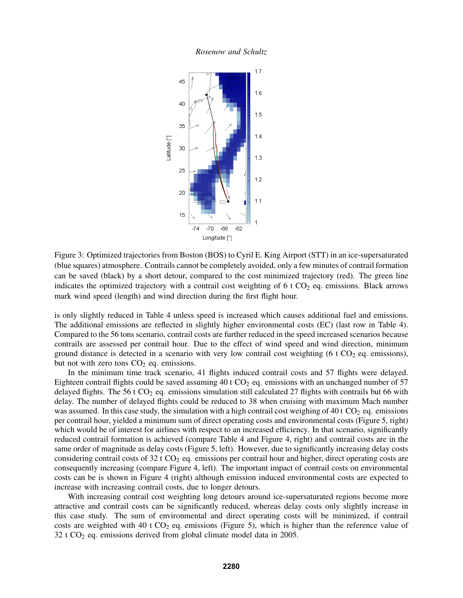*Rosenow and Schultz*



Figure 3: Optimized trajectories from Boston (BOS) to Cyril E. King Airport (STT) in an ice-supersaturated (blue squares) atmosphere. Contrails cannot be completely avoided, only a few minutes of contrail formation can be saved (black) by a short detour, compared to the cost minimized trajectory (red). The green line indicates the optimized trajectory with a contrail cost weighting of  $6$  t  $CO<sub>2</sub>$  eq. emissions. Black arrows mark wind speed (length) and wind direction during the first flight hour.

is only slightly reduced in Table 4 unless speed is increased which causes additional fuel and emissions. The additional emissions are reflected in slightly higher environmental costs (EC) (last row in Table 4). Compared to the 56 tons scenario, contrail costs are further reduced in the speed increased scenarios because contrails are assessed per contrail hour. Due to the effect of wind speed and wind direction, minimum ground distance is detected in a scenario with very low contrail cost weighting (6 t  $CO<sub>2</sub>$  eq. emissions), but not with zero tons  $CO<sub>2</sub>$  eq. emissions.

In the minimum time track scenario, 41 flights induced contrail costs and 57 flights were delayed. Eighteen contrail flights could be saved assuming  $40$  t  $CO<sub>2</sub>$  eq. emissions with an unchanged number of 57 delayed flights. The 56 t  $CO<sub>2</sub>$  eq. emissions simulation still calculated 27 flights with contrails but 66 with delay. The number of delayed flights could be reduced to 38 when cruising with maximum Mach number was assumed. In this case study, the simulation with a high contrail cost weighing of  $40 t CO<sub>2</sub>$  eq. emissions per contrail hour, yielded a minimum sum of direct operating costs and environmental costs (Figure 5, right) which would be of interest for airlines with respect to an increased efficiency. In that scenario, significantly reduced contrail formation is achieved (compare Table 4 and Figure 4, right) and contrail costs are in the same order of magnitude as delay costs (Figure 5, left). However, due to significantly increasing delay costs considering contrail costs of  $32 \text{ t } CO_2$  eq. emissions per contrail hour and higher, direct operating costs are consequently increasing (compare Figure 4, left). The important impact of contrail costs on environmental costs can be is shown in Figure 4 (right) although emission induced environmental costs are expected to increase with increasing contrail costs, due to longer detours.

With increasing contrail cost weighting long detours around ice-supersaturated regions become more attractive and contrail costs can be significantly reduced, whereas delay costs only slightly increase in this case study. The sum of environmental and direct operating costs will be minimized, if contrail costs are weighted with 40 t  $CO<sub>2</sub>$  eq. emissions (Figure 5), which is higher than the reference value of 32 t CO<sup>2</sup> eq. emissions derived from global climate model data in 2005.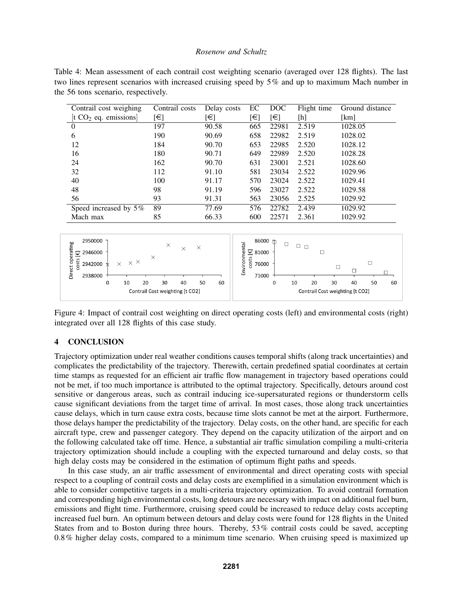| Table 4: Mean assessment of each contrail cost weighting scenario (averaged over 128 flights). The last |
|---------------------------------------------------------------------------------------------------------|
| two lines represent scenarios with increased cruising speed by 5% and up to maximum Mach number in      |
| the 56 tons scenario, respectively.                                                                     |

| Contrail cost weighing   | Contrail costs | Delay costs | EC  | DOC        | Flight time | Ground distance |
|--------------------------|----------------|-------------|-----|------------|-------------|-----------------|
| [t $CO2$ eq. emissions]  | [€]            | [€]         | [€] | $\epsilon$ | [h]         | [km]            |
| $\theta$                 | 197            | 90.58       | 665 | 22981      | 2.519       | 1028.05         |
| 6                        | 190            | 90.69       | 658 | 22982      | 2.519       | 1028.02         |
| 12                       | 184            | 90.70       | 653 | 22985      | 2.520       | 1028.12         |
| 16                       | 180            | 90.71       | 649 | 22989      | 2.520       | 1028.28         |
| 24                       | 162            | 90.70       | 631 | 23001      | 2.521       | 1028.60         |
| 32                       | 112            | 91.10       | 581 | 23034      | 2.522       | 1029.96         |
| 40                       | 100            | 91.17       | 570 | 23024      | 2.522       | 1029.41         |
| 48                       | 98             | 91.19       | 596 | 23027      | 2.522       | 1029.58         |
| 56                       | 93             | 91.31       | 563 | 23056      | 2.525       | 1029.92         |
| Speed increased by $5\%$ | 89             | 77.69       | 576 | 22782      | 2.439       | 1029.92         |
| Mach max                 | 85             | 66.33       | 600 | 22571      | 2.361       | 1029.92         |



Figure 4: Impact of contrail cost weighting on direct operating costs (left) and environmental costs (right) integrated over all 128 flights of this case study.

### 4 CONCLUSION

Trajectory optimization under real weather conditions causes temporal shifts (along track uncertainties) and complicates the predictability of the trajectory. Therewith, certain predefined spatial coordinates at certain time stamps as requested for an efficient air traffic flow management in trajectory based operations could not be met, if too much importance is attributed to the optimal trajectory. Specifically, detours around cost sensitive or dangerous areas, such as contrail inducing ice-supersaturated regions or thunderstorm cells cause significant deviations from the target time of arrival. In most cases, those along track uncertainties cause delays, which in turn cause extra costs, because time slots cannot be met at the airport. Furthermore, those delays hamper the predictability of the trajectory. Delay costs, on the other hand, are specific for each aircraft type, crew and passenger category. They depend on the capacity utilization of the airport and on the following calculated take off time. Hence, a substantial air traffic simulation compiling a multi-criteria trajectory optimization should include a coupling with the expected turnaround and delay costs, so that high delay costs may be considered in the estimation of optimum flight paths and speeds.

In this case study, an air traffic assessment of environmental and direct operating costs with special respect to a coupling of contrail costs and delay costs are exemplified in a simulation environment which is able to consider competitive targets in a multi-criteria trajectory optimization. To avoid contrail formation and corresponding high environmental costs, long detours are necessary with impact on additional fuel burn, emissions and flight time. Furthermore, cruising speed could be increased to reduce delay costs accepting increased fuel burn. An optimum between detours and delay costs were found for 128 flights in the United States from and to Boston during three hours. Thereby, 53% contrail costs could be saved, accepting 0.8% higher delay costs, compared to a minimum time scenario. When cruising speed is maximized up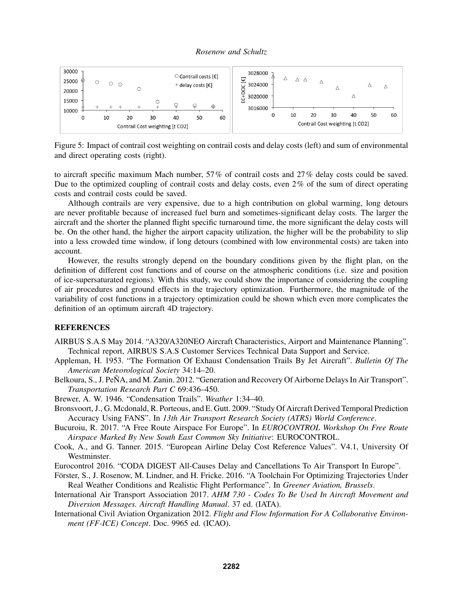

Figure 5: Impact of contrail cost weighting on contrail costs and delay costs (left) and sum of environmental and direct operating costs (right).

to aircraft specific maximum Mach number, 57% of contrail costs and 27% delay costs could be saved. Due to the optimized coupling of contrail costs and delay costs, even 2% of the sum of direct operating costs and contrail costs could be saved.

Although contrails are very expensive, due to a high contribution on global warming, long detours are never profitable because of increased fuel burn and sometimes-significant delay costs. The larger the aircraft and the shorter the planned flight specific turnaround time, the more significant the delay costs will be. On the other hand, the higher the airport capacity utilization, the higher will be the probability to slip into a less crowded time window, if long detours (combined with low environmental costs) are taken into account.

However, the results strongly depend on the boundary conditions given by the flight plan, on the definition of different cost functions and of course on the atmospheric conditions (i.e. size and position of ice-supersaturated regions). With this study, we could show the importance of considering the coupling of air procedures and ground effects in the trajectory optimization. Furthermore, the magnitude of the variability of cost functions in a trajectory optimization could be shown which even more complicates the definition of an optimum aircraft 4D trajectory.

### **REFERENCES**

- AIRBUS S.A.S May 2014. "A320/A320NEO Aircraft Characteristics, Airport and Maintenance Planning". Technical report, AIRBUS S.A.S Customer Services Technical Data Support and Service.
- Appleman, H. 1953. "The Formation Of Exhaust Condensation Trails By Jet Aircraft". *Bulletin Of The American Meteorological Society* 34:14–20.
- Belkoura, S., J. PeÑA, and M. Zanin. 2012. "Generation and Recovery Of Airborne Delays In Air Transport". *Transportation Research Part C* 69:436–450.
- Brewer, A. W. 1946. "Condensation Trails". *Weather* 1:34–40.
- Bronsvoort, J., G. Mcdonald, R. Porteous, and E. Gutt. 2009. "Study Of Aircraft Derived Temporal Prediction Accuracy Using FANS". In *13th Air Transport Research Society (ATRS) World Conference*.
- Bucuroiu, R. 2017. "A Free Route Airspace For Europe". In *EUROCONTROL Workshop On Free Route Airspace Marked By New South East Common Sky Initiative*: EUROCONTROL.
- Cook, A., and G. Tanner. 2015. "European Airline Delay Cost Reference Values". V4.1, University Of Westminster.
- Eurocontrol 2016. "CODA DIGEST All-Causes Delay and Cancellations To Air Transport In Europe".
- Förster, S., J. Rosenow, M. Lindner, and H. Fricke. 2016. "A Toolchain For Optimizing Trajectories Under Real Weather Conditions and Realistic Flight Performance". In *Greener Aviation, Brussels*.
- International Air Transport Association 2017. *AHM 730 Codes To Be Used In Aircraft Movement and Diversion Messages. Aircraft Handling Manual*. 37 ed. (IATA).
- International Civil Aviation Organization 2012. *Flight and Flow Information For A Collaborative Environment (FF-ICE) Concept*. Doc. 9965 ed. (ICAO).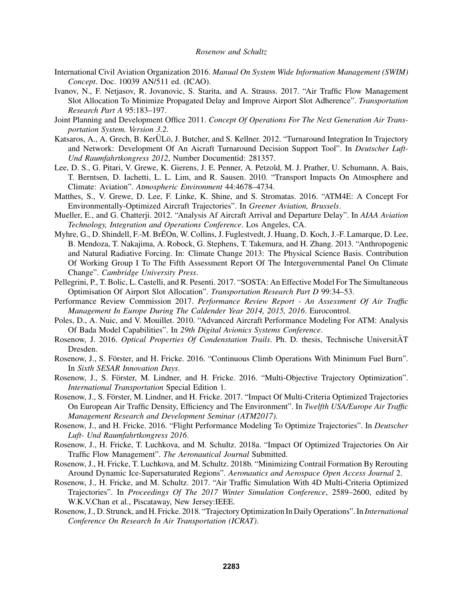- International Civil Aviation Organization 2016. *Manual On System Wide Information Management (SWIM) Concept*. Doc. 10039 AN/511 ed. (ICAO).
- Ivanov, N., F. Netjasov, R. Jovanovic, S. Starita, and A. Strauss. 2017. "Air Traffic Flow Management Slot Allocation To Minimize Propagated Delay and Improve Airport Slot Adherence". *Transportation Research Part A* 95:183–197.
- Joint Planning and Development Office 2011. *Concept Of Operations For The Next Generation Air Transportation System. Version 3.2*.
- Katsaros, A., A. Grech, B. KerÜLö, J. Butcher, and S. Kellner. 2012. "Turnaround Integration In Trajectory and Network: Development Of An Aicraft Turnaround Decision Support Tool". In *Deutscher Luft-Und Raumfahrtkongress 2012*, Number Documentid: 281357.
- Lee, D. S., G. Pitari, V. Grewe, K. Gierens, J. E. Penner, A. Petzold, M. J. Prather, U. Schumann, A. Bais, T. Berntsen, D. Iachetti, L. L. Lim, and R. Sausen. 2010. "Transport Impacts On Atmosphere and Climate: Aviation". *Atmospheric Environment* 44:4678–4734.
- Matthes, S., V. Grewe, D. Lee, F. Linke, K. Shine, and S. Stromatas. 2016. "ATM4E: A Concept For Environmentally-Optimized Aircraft Trajectories". In *Greener Aviation, Brussels*.
- Mueller, E., and G. Chatterji. 2012. "Analysis Af Aircraft Arrival and Departure Delay". In *AIAA Aviation Technology, Integration and Operations Conference*. Los Angeles, CA.
- Myhre, G., D. Shindell, F.-M. BrEOn, W. Collins, J. Fuglestvedt, J. Huang, D. Koch, J.-F. Lamarque, D. Lee, ´ B. Mendoza, T. Nakajima, A. Robock, G. Stephens, T. Takemura, and H. Zhang. 2013. "Anthropogenic and Natural Radiative Forcing. In: Climate Change 2013: The Physical Science Basis. Contribution Of Working Group I To The Fifth Assessment Report Of The Intergovernmental Panel On Climate Change". *Cambridge University Press*.
- Pellegrini, P., T. Bolic, L. Castelli, and R. Pesenti. 2017. "SOSTA: An Effective Model For The Simultaneous Optimisation Of Airport Slot Allocation". *Transportation Research Part D* 99:34–53.
- Performance Review Commission 2017. *Performance Review Report An Assessment Of Air Traffic Management In Europe During The Caldender Year 2014, 2015, 2016*. Eurocontrol.
- Poles, D., A. Nuic, and V. Mouillet. 2010. "Advanced Aircraft Performance Modeling For ATM: Analysis Of Bada Model Capabilities". In *29th Digital Avionics Systems Conference*.
- Rosenow, J. 2016. *Optical Properties Of Condenstation Trails*. Ph. D. thesis, Technische UniversitÄT Dresden.
- Rosenow, J., S. Förster, and H. Fricke. 2016. "Continuous Climb Operations With Minimum Fuel Burn". In *Sixth SESAR Innovation Days*.
- Rosenow, J., S. Förster, M. Lindner, and H. Fricke. 2016. "Multi-Objective Trajectory Optimization". *International Transportation* Special Edition 1.
- Rosenow, J., S. Förster, M. Lindner, and H. Fricke. 2017. "Impact Of Multi-Criteria Optimized Trajectories On European Air Traffic Density, Efficiency and The Environment". In *Twelfth USA/Europe Air Traffic Management Research and Development Seminar (ATM2017)*.
- Rosenow, J., and H. Fricke. 2016. "Flight Performance Modeling To Optimize Trajectories". In *Deutscher Luft- Und Raumfahrtkongress 2016*.
- Rosenow, J., H. Fricke, T. Luchkova, and M. Schultz. 2018a. "Impact Of Optimized Trajectories On Air Traffic Flow Management". *The Aeronautical Journal* Submitted.
- Rosenow, J., H. Fricke, T. Luchkova, and M. Schultz. 2018b. "Minimizing Contrail Formation By Rerouting Around Dynamic Ice-Supersaturated Regions". *Aeronautics and Aerospace Open Access Journal* 2.
- Rosenow, J., H. Fricke, and M. Schultz. 2017. "Air Traffic Simulation With 4D Multi-Criteria Optimized Trajectories". In *Proceedings Of The 2017 Winter Simulation Conference*, 2589–2600, edited by W.K.V.Chan et al., Piscataway, New Jersey:IEEE.
- Rosenow, J., D. Strunck, and H. Fricke. 2018. "Trajectory Optimization In Daily Operations". In *International Conference On Research In Air Transportation (ICRAT)*.